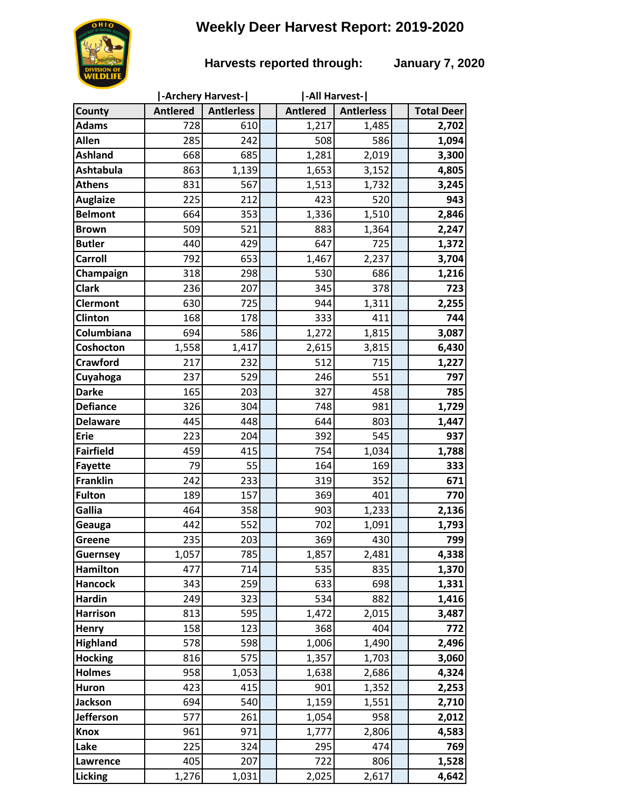# **Weekly Deer Harvest Report: 2019-2020**



### **Harvests reported through: January 7, 2020**

| <b>Antlered</b><br><b>Antlerless</b><br><b>Antlered</b><br><b>Antierless</b><br><b>Total Deer</b><br>County<br><b>Adams</b><br>728<br>610<br>1,217<br>2,702<br>1,485<br>Allen<br>285<br>242<br>508<br>586<br>1,094<br><b>Ashland</b><br>668<br>685<br>1,281<br>2,019<br>3,300<br>1,139<br><b>Ashtabula</b><br>863<br>1,653<br>3,152<br>4,805<br><b>Athens</b><br>831<br>567<br>1,513<br>3,245<br>1,732<br>225<br>423<br>520<br>943<br><b>Auglaize</b><br>212<br>1,336<br><b>Belmont</b><br>664<br>1,510<br>2,846<br>353<br>509<br>521<br><b>Brown</b><br>883<br>1,364<br>2,247<br>647<br>725<br>440<br>429<br>1,372<br><b>Butler</b><br>792<br><b>Carroll</b><br>653<br>1,467<br>2,237<br>3,704<br>530<br>318<br>298<br>Champaign<br>686<br>1,216<br><b>Clark</b><br>723<br>236<br>207<br>345<br>378<br>725<br><b>Clermont</b><br>630<br>944<br>1,311<br>2,255<br>Clinton<br>168<br>178<br>411<br>744<br>333<br>Columbiana<br>586<br>694<br>1,272<br>1,815<br>3,087<br>2,615<br>1,558<br>3,815<br>6,430<br>1,417<br>Coshocton<br>217<br><b>Crawford</b><br>512<br>715<br>1,227<br>232<br>529<br>551<br>797<br>Cuyahoga<br>237<br>246<br>165<br><b>Darke</b><br>327<br>458<br>785<br>203<br><b>Defiance</b><br>326<br>304<br>981<br>748<br>1,729<br><b>Delaware</b><br>445<br>448<br>644<br>1,447<br>803<br><b>Erie</b><br>223<br>392<br>545<br>937<br>204<br>754<br><b>Fairfield</b><br>459<br>415<br>1,034<br>1,788<br>79<br>55<br>164<br>169<br>333<br><b>Fayette</b><br>671<br><b>Franklin</b><br>233<br>319<br>352<br>242<br><b>Fulton</b><br>189<br>157<br>369<br>401<br>770<br>Gallia<br>464<br>358<br>903<br>1,233<br>2,136<br>552<br>702<br>442<br>1,091<br>1,793<br>Geauga<br>235<br>369<br>430<br>799<br>203<br>Greene<br>1,057<br>785<br>1,857<br>2,481<br>4,338<br><b>Guernsey</b><br><b>Hamilton</b><br>477<br>535<br>1,370<br>714<br>835<br>259<br>698<br>1,331<br><b>Hancock</b><br>343<br>633<br><b>Hardin</b><br>249<br>323<br>534<br>882<br>1,416<br><b>Harrison</b><br>813<br>595<br>1,472<br>2,015<br>3,487<br>158<br>123<br>368<br>404<br>772<br>Henry<br><b>Highland</b><br>578<br>598<br>1,006<br>1,490<br>2,496<br>575<br>1,357<br>3,060<br><b>Hocking</b><br>816<br>1,703<br><b>Holmes</b><br>958<br>1,053<br>1,638<br>4,324<br>2,686<br>423<br>415<br>901<br><b>Huron</b><br>1,352<br>2,253<br>1,159<br>1,551<br><b>Jackson</b><br>694<br>540<br>2,710<br>Jefferson<br>577<br>958<br>261<br>1,054<br>2,012<br>961<br>971<br>1,777<br>2,806<br>4,583<br><b>Knox</b><br>295<br>769<br>Lake<br>225<br>474<br>324<br>405<br>207<br>722<br>806<br>1,528<br>Lawrence<br>1,276<br>2,617<br>4,642<br><b>Licking</b><br>1,031<br>2,025 |  | -Archery Harvest- |  | -All Harvest- |  |
|---------------------------------------------------------------------------------------------------------------------------------------------------------------------------------------------------------------------------------------------------------------------------------------------------------------------------------------------------------------------------------------------------------------------------------------------------------------------------------------------------------------------------------------------------------------------------------------------------------------------------------------------------------------------------------------------------------------------------------------------------------------------------------------------------------------------------------------------------------------------------------------------------------------------------------------------------------------------------------------------------------------------------------------------------------------------------------------------------------------------------------------------------------------------------------------------------------------------------------------------------------------------------------------------------------------------------------------------------------------------------------------------------------------------------------------------------------------------------------------------------------------------------------------------------------------------------------------------------------------------------------------------------------------------------------------------------------------------------------------------------------------------------------------------------------------------------------------------------------------------------------------------------------------------------------------------------------------------------------------------------------------------------------------------------------------------------------------------------------------------------------------------------------------------------------------------------------------------------------------------------------------------------------------------------------------------------------------------------------------------------------------------------------------------------------------------------------------------------------------------------------------------------------------------------------------------------------------------------------------------------------------------------------|--|-------------------|--|---------------|--|
|                                                                                                                                                                                                                                                                                                                                                                                                                                                                                                                                                                                                                                                                                                                                                                                                                                                                                                                                                                                                                                                                                                                                                                                                                                                                                                                                                                                                                                                                                                                                                                                                                                                                                                                                                                                                                                                                                                                                                                                                                                                                                                                                                                                                                                                                                                                                                                                                                                                                                                                                                                                                                                                         |  |                   |  |               |  |
|                                                                                                                                                                                                                                                                                                                                                                                                                                                                                                                                                                                                                                                                                                                                                                                                                                                                                                                                                                                                                                                                                                                                                                                                                                                                                                                                                                                                                                                                                                                                                                                                                                                                                                                                                                                                                                                                                                                                                                                                                                                                                                                                                                                                                                                                                                                                                                                                                                                                                                                                                                                                                                                         |  |                   |  |               |  |
|                                                                                                                                                                                                                                                                                                                                                                                                                                                                                                                                                                                                                                                                                                                                                                                                                                                                                                                                                                                                                                                                                                                                                                                                                                                                                                                                                                                                                                                                                                                                                                                                                                                                                                                                                                                                                                                                                                                                                                                                                                                                                                                                                                                                                                                                                                                                                                                                                                                                                                                                                                                                                                                         |  |                   |  |               |  |
|                                                                                                                                                                                                                                                                                                                                                                                                                                                                                                                                                                                                                                                                                                                                                                                                                                                                                                                                                                                                                                                                                                                                                                                                                                                                                                                                                                                                                                                                                                                                                                                                                                                                                                                                                                                                                                                                                                                                                                                                                                                                                                                                                                                                                                                                                                                                                                                                                                                                                                                                                                                                                                                         |  |                   |  |               |  |
|                                                                                                                                                                                                                                                                                                                                                                                                                                                                                                                                                                                                                                                                                                                                                                                                                                                                                                                                                                                                                                                                                                                                                                                                                                                                                                                                                                                                                                                                                                                                                                                                                                                                                                                                                                                                                                                                                                                                                                                                                                                                                                                                                                                                                                                                                                                                                                                                                                                                                                                                                                                                                                                         |  |                   |  |               |  |
|                                                                                                                                                                                                                                                                                                                                                                                                                                                                                                                                                                                                                                                                                                                                                                                                                                                                                                                                                                                                                                                                                                                                                                                                                                                                                                                                                                                                                                                                                                                                                                                                                                                                                                                                                                                                                                                                                                                                                                                                                                                                                                                                                                                                                                                                                                                                                                                                                                                                                                                                                                                                                                                         |  |                   |  |               |  |
|                                                                                                                                                                                                                                                                                                                                                                                                                                                                                                                                                                                                                                                                                                                                                                                                                                                                                                                                                                                                                                                                                                                                                                                                                                                                                                                                                                                                                                                                                                                                                                                                                                                                                                                                                                                                                                                                                                                                                                                                                                                                                                                                                                                                                                                                                                                                                                                                                                                                                                                                                                                                                                                         |  |                   |  |               |  |
|                                                                                                                                                                                                                                                                                                                                                                                                                                                                                                                                                                                                                                                                                                                                                                                                                                                                                                                                                                                                                                                                                                                                                                                                                                                                                                                                                                                                                                                                                                                                                                                                                                                                                                                                                                                                                                                                                                                                                                                                                                                                                                                                                                                                                                                                                                                                                                                                                                                                                                                                                                                                                                                         |  |                   |  |               |  |
|                                                                                                                                                                                                                                                                                                                                                                                                                                                                                                                                                                                                                                                                                                                                                                                                                                                                                                                                                                                                                                                                                                                                                                                                                                                                                                                                                                                                                                                                                                                                                                                                                                                                                                                                                                                                                                                                                                                                                                                                                                                                                                                                                                                                                                                                                                                                                                                                                                                                                                                                                                                                                                                         |  |                   |  |               |  |
|                                                                                                                                                                                                                                                                                                                                                                                                                                                                                                                                                                                                                                                                                                                                                                                                                                                                                                                                                                                                                                                                                                                                                                                                                                                                                                                                                                                                                                                                                                                                                                                                                                                                                                                                                                                                                                                                                                                                                                                                                                                                                                                                                                                                                                                                                                                                                                                                                                                                                                                                                                                                                                                         |  |                   |  |               |  |
|                                                                                                                                                                                                                                                                                                                                                                                                                                                                                                                                                                                                                                                                                                                                                                                                                                                                                                                                                                                                                                                                                                                                                                                                                                                                                                                                                                                                                                                                                                                                                                                                                                                                                                                                                                                                                                                                                                                                                                                                                                                                                                                                                                                                                                                                                                                                                                                                                                                                                                                                                                                                                                                         |  |                   |  |               |  |
|                                                                                                                                                                                                                                                                                                                                                                                                                                                                                                                                                                                                                                                                                                                                                                                                                                                                                                                                                                                                                                                                                                                                                                                                                                                                                                                                                                                                                                                                                                                                                                                                                                                                                                                                                                                                                                                                                                                                                                                                                                                                                                                                                                                                                                                                                                                                                                                                                                                                                                                                                                                                                                                         |  |                   |  |               |  |
|                                                                                                                                                                                                                                                                                                                                                                                                                                                                                                                                                                                                                                                                                                                                                                                                                                                                                                                                                                                                                                                                                                                                                                                                                                                                                                                                                                                                                                                                                                                                                                                                                                                                                                                                                                                                                                                                                                                                                                                                                                                                                                                                                                                                                                                                                                                                                                                                                                                                                                                                                                                                                                                         |  |                   |  |               |  |
|                                                                                                                                                                                                                                                                                                                                                                                                                                                                                                                                                                                                                                                                                                                                                                                                                                                                                                                                                                                                                                                                                                                                                                                                                                                                                                                                                                                                                                                                                                                                                                                                                                                                                                                                                                                                                                                                                                                                                                                                                                                                                                                                                                                                                                                                                                                                                                                                                                                                                                                                                                                                                                                         |  |                   |  |               |  |
|                                                                                                                                                                                                                                                                                                                                                                                                                                                                                                                                                                                                                                                                                                                                                                                                                                                                                                                                                                                                                                                                                                                                                                                                                                                                                                                                                                                                                                                                                                                                                                                                                                                                                                                                                                                                                                                                                                                                                                                                                                                                                                                                                                                                                                                                                                                                                                                                                                                                                                                                                                                                                                                         |  |                   |  |               |  |
|                                                                                                                                                                                                                                                                                                                                                                                                                                                                                                                                                                                                                                                                                                                                                                                                                                                                                                                                                                                                                                                                                                                                                                                                                                                                                                                                                                                                                                                                                                                                                                                                                                                                                                                                                                                                                                                                                                                                                                                                                                                                                                                                                                                                                                                                                                                                                                                                                                                                                                                                                                                                                                                         |  |                   |  |               |  |
|                                                                                                                                                                                                                                                                                                                                                                                                                                                                                                                                                                                                                                                                                                                                                                                                                                                                                                                                                                                                                                                                                                                                                                                                                                                                                                                                                                                                                                                                                                                                                                                                                                                                                                                                                                                                                                                                                                                                                                                                                                                                                                                                                                                                                                                                                                                                                                                                                                                                                                                                                                                                                                                         |  |                   |  |               |  |
|                                                                                                                                                                                                                                                                                                                                                                                                                                                                                                                                                                                                                                                                                                                                                                                                                                                                                                                                                                                                                                                                                                                                                                                                                                                                                                                                                                                                                                                                                                                                                                                                                                                                                                                                                                                                                                                                                                                                                                                                                                                                                                                                                                                                                                                                                                                                                                                                                                                                                                                                                                                                                                                         |  |                   |  |               |  |
|                                                                                                                                                                                                                                                                                                                                                                                                                                                                                                                                                                                                                                                                                                                                                                                                                                                                                                                                                                                                                                                                                                                                                                                                                                                                                                                                                                                                                                                                                                                                                                                                                                                                                                                                                                                                                                                                                                                                                                                                                                                                                                                                                                                                                                                                                                                                                                                                                                                                                                                                                                                                                                                         |  |                   |  |               |  |
|                                                                                                                                                                                                                                                                                                                                                                                                                                                                                                                                                                                                                                                                                                                                                                                                                                                                                                                                                                                                                                                                                                                                                                                                                                                                                                                                                                                                                                                                                                                                                                                                                                                                                                                                                                                                                                                                                                                                                                                                                                                                                                                                                                                                                                                                                                                                                                                                                                                                                                                                                                                                                                                         |  |                   |  |               |  |
|                                                                                                                                                                                                                                                                                                                                                                                                                                                                                                                                                                                                                                                                                                                                                                                                                                                                                                                                                                                                                                                                                                                                                                                                                                                                                                                                                                                                                                                                                                                                                                                                                                                                                                                                                                                                                                                                                                                                                                                                                                                                                                                                                                                                                                                                                                                                                                                                                                                                                                                                                                                                                                                         |  |                   |  |               |  |
|                                                                                                                                                                                                                                                                                                                                                                                                                                                                                                                                                                                                                                                                                                                                                                                                                                                                                                                                                                                                                                                                                                                                                                                                                                                                                                                                                                                                                                                                                                                                                                                                                                                                                                                                                                                                                                                                                                                                                                                                                                                                                                                                                                                                                                                                                                                                                                                                                                                                                                                                                                                                                                                         |  |                   |  |               |  |
|                                                                                                                                                                                                                                                                                                                                                                                                                                                                                                                                                                                                                                                                                                                                                                                                                                                                                                                                                                                                                                                                                                                                                                                                                                                                                                                                                                                                                                                                                                                                                                                                                                                                                                                                                                                                                                                                                                                                                                                                                                                                                                                                                                                                                                                                                                                                                                                                                                                                                                                                                                                                                                                         |  |                   |  |               |  |
|                                                                                                                                                                                                                                                                                                                                                                                                                                                                                                                                                                                                                                                                                                                                                                                                                                                                                                                                                                                                                                                                                                                                                                                                                                                                                                                                                                                                                                                                                                                                                                                                                                                                                                                                                                                                                                                                                                                                                                                                                                                                                                                                                                                                                                                                                                                                                                                                                                                                                                                                                                                                                                                         |  |                   |  |               |  |
|                                                                                                                                                                                                                                                                                                                                                                                                                                                                                                                                                                                                                                                                                                                                                                                                                                                                                                                                                                                                                                                                                                                                                                                                                                                                                                                                                                                                                                                                                                                                                                                                                                                                                                                                                                                                                                                                                                                                                                                                                                                                                                                                                                                                                                                                                                                                                                                                                                                                                                                                                                                                                                                         |  |                   |  |               |  |
|                                                                                                                                                                                                                                                                                                                                                                                                                                                                                                                                                                                                                                                                                                                                                                                                                                                                                                                                                                                                                                                                                                                                                                                                                                                                                                                                                                                                                                                                                                                                                                                                                                                                                                                                                                                                                                                                                                                                                                                                                                                                                                                                                                                                                                                                                                                                                                                                                                                                                                                                                                                                                                                         |  |                   |  |               |  |
|                                                                                                                                                                                                                                                                                                                                                                                                                                                                                                                                                                                                                                                                                                                                                                                                                                                                                                                                                                                                                                                                                                                                                                                                                                                                                                                                                                                                                                                                                                                                                                                                                                                                                                                                                                                                                                                                                                                                                                                                                                                                                                                                                                                                                                                                                                                                                                                                                                                                                                                                                                                                                                                         |  |                   |  |               |  |
|                                                                                                                                                                                                                                                                                                                                                                                                                                                                                                                                                                                                                                                                                                                                                                                                                                                                                                                                                                                                                                                                                                                                                                                                                                                                                                                                                                                                                                                                                                                                                                                                                                                                                                                                                                                                                                                                                                                                                                                                                                                                                                                                                                                                                                                                                                                                                                                                                                                                                                                                                                                                                                                         |  |                   |  |               |  |
|                                                                                                                                                                                                                                                                                                                                                                                                                                                                                                                                                                                                                                                                                                                                                                                                                                                                                                                                                                                                                                                                                                                                                                                                                                                                                                                                                                                                                                                                                                                                                                                                                                                                                                                                                                                                                                                                                                                                                                                                                                                                                                                                                                                                                                                                                                                                                                                                                                                                                                                                                                                                                                                         |  |                   |  |               |  |
|                                                                                                                                                                                                                                                                                                                                                                                                                                                                                                                                                                                                                                                                                                                                                                                                                                                                                                                                                                                                                                                                                                                                                                                                                                                                                                                                                                                                                                                                                                                                                                                                                                                                                                                                                                                                                                                                                                                                                                                                                                                                                                                                                                                                                                                                                                                                                                                                                                                                                                                                                                                                                                                         |  |                   |  |               |  |
|                                                                                                                                                                                                                                                                                                                                                                                                                                                                                                                                                                                                                                                                                                                                                                                                                                                                                                                                                                                                                                                                                                                                                                                                                                                                                                                                                                                                                                                                                                                                                                                                                                                                                                                                                                                                                                                                                                                                                                                                                                                                                                                                                                                                                                                                                                                                                                                                                                                                                                                                                                                                                                                         |  |                   |  |               |  |
|                                                                                                                                                                                                                                                                                                                                                                                                                                                                                                                                                                                                                                                                                                                                                                                                                                                                                                                                                                                                                                                                                                                                                                                                                                                                                                                                                                                                                                                                                                                                                                                                                                                                                                                                                                                                                                                                                                                                                                                                                                                                                                                                                                                                                                                                                                                                                                                                                                                                                                                                                                                                                                                         |  |                   |  |               |  |
|                                                                                                                                                                                                                                                                                                                                                                                                                                                                                                                                                                                                                                                                                                                                                                                                                                                                                                                                                                                                                                                                                                                                                                                                                                                                                                                                                                                                                                                                                                                                                                                                                                                                                                                                                                                                                                                                                                                                                                                                                                                                                                                                                                                                                                                                                                                                                                                                                                                                                                                                                                                                                                                         |  |                   |  |               |  |
|                                                                                                                                                                                                                                                                                                                                                                                                                                                                                                                                                                                                                                                                                                                                                                                                                                                                                                                                                                                                                                                                                                                                                                                                                                                                                                                                                                                                                                                                                                                                                                                                                                                                                                                                                                                                                                                                                                                                                                                                                                                                                                                                                                                                                                                                                                                                                                                                                                                                                                                                                                                                                                                         |  |                   |  |               |  |
|                                                                                                                                                                                                                                                                                                                                                                                                                                                                                                                                                                                                                                                                                                                                                                                                                                                                                                                                                                                                                                                                                                                                                                                                                                                                                                                                                                                                                                                                                                                                                                                                                                                                                                                                                                                                                                                                                                                                                                                                                                                                                                                                                                                                                                                                                                                                                                                                                                                                                                                                                                                                                                                         |  |                   |  |               |  |
|                                                                                                                                                                                                                                                                                                                                                                                                                                                                                                                                                                                                                                                                                                                                                                                                                                                                                                                                                                                                                                                                                                                                                                                                                                                                                                                                                                                                                                                                                                                                                                                                                                                                                                                                                                                                                                                                                                                                                                                                                                                                                                                                                                                                                                                                                                                                                                                                                                                                                                                                                                                                                                                         |  |                   |  |               |  |
|                                                                                                                                                                                                                                                                                                                                                                                                                                                                                                                                                                                                                                                                                                                                                                                                                                                                                                                                                                                                                                                                                                                                                                                                                                                                                                                                                                                                                                                                                                                                                                                                                                                                                                                                                                                                                                                                                                                                                                                                                                                                                                                                                                                                                                                                                                                                                                                                                                                                                                                                                                                                                                                         |  |                   |  |               |  |
|                                                                                                                                                                                                                                                                                                                                                                                                                                                                                                                                                                                                                                                                                                                                                                                                                                                                                                                                                                                                                                                                                                                                                                                                                                                                                                                                                                                                                                                                                                                                                                                                                                                                                                                                                                                                                                                                                                                                                                                                                                                                                                                                                                                                                                                                                                                                                                                                                                                                                                                                                                                                                                                         |  |                   |  |               |  |
|                                                                                                                                                                                                                                                                                                                                                                                                                                                                                                                                                                                                                                                                                                                                                                                                                                                                                                                                                                                                                                                                                                                                                                                                                                                                                                                                                                                                                                                                                                                                                                                                                                                                                                                                                                                                                                                                                                                                                                                                                                                                                                                                                                                                                                                                                                                                                                                                                                                                                                                                                                                                                                                         |  |                   |  |               |  |
|                                                                                                                                                                                                                                                                                                                                                                                                                                                                                                                                                                                                                                                                                                                                                                                                                                                                                                                                                                                                                                                                                                                                                                                                                                                                                                                                                                                                                                                                                                                                                                                                                                                                                                                                                                                                                                                                                                                                                                                                                                                                                                                                                                                                                                                                                                                                                                                                                                                                                                                                                                                                                                                         |  |                   |  |               |  |
|                                                                                                                                                                                                                                                                                                                                                                                                                                                                                                                                                                                                                                                                                                                                                                                                                                                                                                                                                                                                                                                                                                                                                                                                                                                                                                                                                                                                                                                                                                                                                                                                                                                                                                                                                                                                                                                                                                                                                                                                                                                                                                                                                                                                                                                                                                                                                                                                                                                                                                                                                                                                                                                         |  |                   |  |               |  |
|                                                                                                                                                                                                                                                                                                                                                                                                                                                                                                                                                                                                                                                                                                                                                                                                                                                                                                                                                                                                                                                                                                                                                                                                                                                                                                                                                                                                                                                                                                                                                                                                                                                                                                                                                                                                                                                                                                                                                                                                                                                                                                                                                                                                                                                                                                                                                                                                                                                                                                                                                                                                                                                         |  |                   |  |               |  |
|                                                                                                                                                                                                                                                                                                                                                                                                                                                                                                                                                                                                                                                                                                                                                                                                                                                                                                                                                                                                                                                                                                                                                                                                                                                                                                                                                                                                                                                                                                                                                                                                                                                                                                                                                                                                                                                                                                                                                                                                                                                                                                                                                                                                                                                                                                                                                                                                                                                                                                                                                                                                                                                         |  |                   |  |               |  |
|                                                                                                                                                                                                                                                                                                                                                                                                                                                                                                                                                                                                                                                                                                                                                                                                                                                                                                                                                                                                                                                                                                                                                                                                                                                                                                                                                                                                                                                                                                                                                                                                                                                                                                                                                                                                                                                                                                                                                                                                                                                                                                                                                                                                                                                                                                                                                                                                                                                                                                                                                                                                                                                         |  |                   |  |               |  |
|                                                                                                                                                                                                                                                                                                                                                                                                                                                                                                                                                                                                                                                                                                                                                                                                                                                                                                                                                                                                                                                                                                                                                                                                                                                                                                                                                                                                                                                                                                                                                                                                                                                                                                                                                                                                                                                                                                                                                                                                                                                                                                                                                                                                                                                                                                                                                                                                                                                                                                                                                                                                                                                         |  |                   |  |               |  |